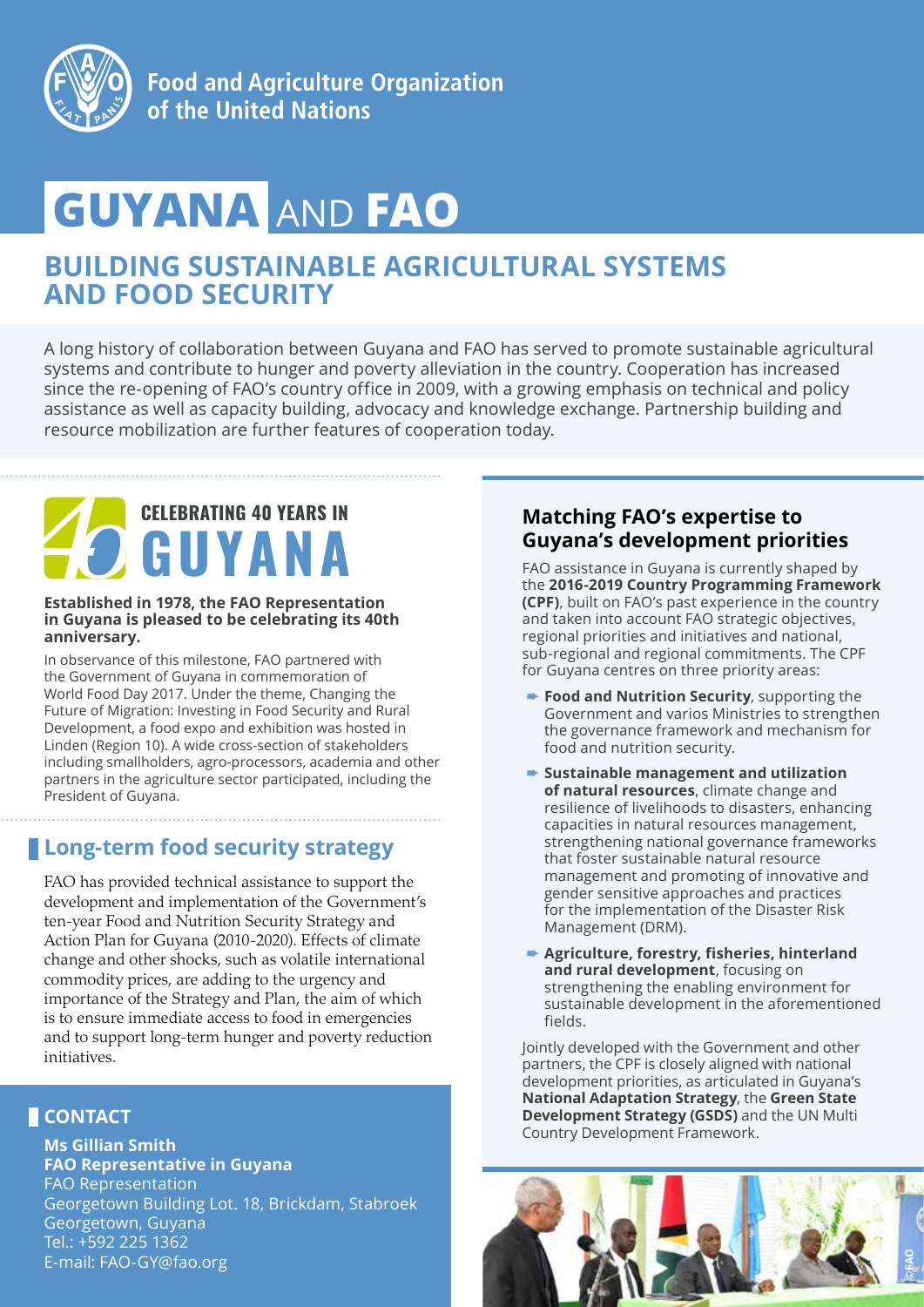

# **GUYANA** AND **FAO**

## **BUILDING SUSTAINABLE AGRICULTURAL SYSTEMS AND FOOD SECURITY**

A long history of collaboration between Guyana and FAO has served to promote sustainable agricultural systems and contribute to hunger and poverty alleviation in the country. Cooperation has increased since the re-opening of FAO's country office in 2009, with a growing emphasis on technical and policy assistance as well as capacity building, advocacy and knowledge exchange. Partnership building and resource mobilization are further features of cooperation today.

## **CELEBRATING 40 YEARS IN GUYANA**

#### **Established in 1978, the FAO Representation in Guyana is pleased to be celebrating its 40th anniversary.**

In observance of this milestone, FAO partnered with the Government of Guyana in commemoration of World Food Day 2017. Under the theme, Changing the Future of Migration: Investing in Food Security and Rural Development, a food expo and exhibition was hosted in Linden (Region 10). A wide cross-section of stakeholders including smallholders, agro-processors, academia and other partners in the agriculture sector participated, including the President of Guyana.

## **Long-term food security strategy**

FAO has provided technical assistance to support the development and implementation of the Government's ten-year Food and Nutrition Security Strategy and Action Plan for Guyana (2010-2020). Effects of climate change and other shocks, such as volatile international commodity prices, are adding to the urgency and importance of the Strategy and Plan, the aim of which is to ensure immediate access to food in emergencies and to support long-term hunger and poverty reduction initiatives.

## **CONTACT**

**Ms Gillian Smith FAO Representative in Guyana** FAO Representation Georgetown Building Lot. 18, Brickdam, Stabroek Georgetown, Guyana Tel.: +592 225 1362 E-mail: FAO-GY@fao.org

#### **Matching FAO's expertise to Guyana's development priorities**

FAO assistance in Guyana is currently shaped by the **2016-2019 Country Programming Framework (CPF)**, built on FAO's past experience in the country and taken into account FAO strategic objectives, regional priorities and initiatives and national, sub-regional and regional commitments. The CPF for Guyana centres on three priority areas:

- **► Food and Nutrition Security**, supporting the Government and varios Ministries to strengthen the governance framework and mechanism for food and nutrition security.
- ➨ **Sustainable management and utilization of natural resources**, climate change and resilience of livelihoods to disasters, enhancing capacities in natural resources management, strengthening national governance frameworks that foster sustainable natural resource management and promoting of innovative and gender sensitive approaches and practices for the implementation of the Disaster Risk Management (DRM).
- ➨ **Agriculture, forestry, fisheries, hinterland and rural development**, focusing on strengthening the enabling environment for sustainable development in the aforementioned fields.

Jointly developed with the Government and other partners, the CPF is closely aligned with national development priorities, as articulated in Guyana's **National Adaptation Strategy**, the **Green State Development Strategy (GSDS)** and the UN Multi Country Development Framework.